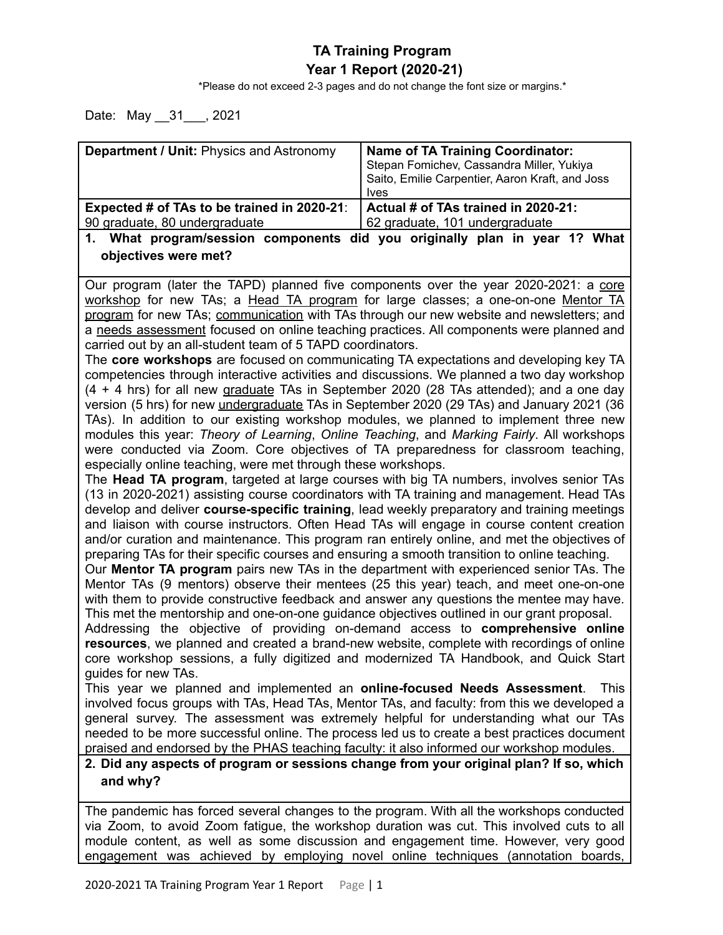## **TA Training Program Year 1 Report (2020-21)**

\*Please do not exceed 2-3 pages and do not change the font size or margins.\*

Date: May \_\_31\_\_\_, 2021

| Department / Unit: Physics and Astronomy                                                                                                                                                   | <b>Name of TA Training Coordinator:</b>            |  |  |  |
|--------------------------------------------------------------------------------------------------------------------------------------------------------------------------------------------|----------------------------------------------------|--|--|--|
|                                                                                                                                                                                            | Stepan Fomichev, Cassandra Miller, Yukiya          |  |  |  |
|                                                                                                                                                                                            | Saito, Emilie Carpentier, Aaron Kraft, and Joss    |  |  |  |
| Expected # of TAs to be trained in 2020-21:                                                                                                                                                | <b>Ives</b><br>Actual # of TAs trained in 2020-21: |  |  |  |
| 90 graduate, 80 undergraduate                                                                                                                                                              | 62 graduate, 101 undergraduate                     |  |  |  |
| 1.                                                                                                                                                                                         |                                                    |  |  |  |
| What program/session components did you originally plan in year 1? What<br>objectives were met?                                                                                            |                                                    |  |  |  |
|                                                                                                                                                                                            |                                                    |  |  |  |
|                                                                                                                                                                                            |                                                    |  |  |  |
| Our program (later the TAPD) planned five components over the year 2020-2021: a core<br>workshop for new TAs; a Head TA program for large classes; a one-on-one Mentor TA                  |                                                    |  |  |  |
| program for new TAs; communication with TAs through our new website and newsletters; and                                                                                                   |                                                    |  |  |  |
| a needs assessment focused on online teaching practices. All components were planned and                                                                                                   |                                                    |  |  |  |
| carried out by an all-student team of 5 TAPD coordinators.                                                                                                                                 |                                                    |  |  |  |
| The core workshops are focused on communicating TA expectations and developing key TA                                                                                                      |                                                    |  |  |  |
| competencies through interactive activities and discussions. We planned a two day workshop                                                                                                 |                                                    |  |  |  |
| (4 + 4 hrs) for all new graduate TAs in September 2020 (28 TAs attended); and a one day                                                                                                    |                                                    |  |  |  |
| version (5 hrs) for new <i>undergraduate</i> TAs in September 2020 (29 TAs) and January 2021 (36                                                                                           |                                                    |  |  |  |
| TAs). In addition to our existing workshop modules, we planned to implement three new                                                                                                      |                                                    |  |  |  |
| modules this year: Theory of Learning, Online Teaching, and Marking Fairly. All workshops                                                                                                  |                                                    |  |  |  |
| were conducted via Zoom. Core objectives of TA preparedness for classroom teaching,                                                                                                        |                                                    |  |  |  |
| especially online teaching, were met through these workshops.                                                                                                                              |                                                    |  |  |  |
| The Head TA program, targeted at large courses with big TA numbers, involves senior TAs                                                                                                    |                                                    |  |  |  |
| (13 in 2020-2021) assisting course coordinators with TA training and management. Head TAs                                                                                                  |                                                    |  |  |  |
| develop and deliver course-specific training, lead weekly preparatory and training meetings                                                                                                |                                                    |  |  |  |
| and liaison with course instructors. Often Head TAs will engage in course content creation<br>and/or curation and maintenance. This program ran entirely online, and met the objectives of |                                                    |  |  |  |
| preparing TAs for their specific courses and ensuring a smooth transition to online teaching.                                                                                              |                                                    |  |  |  |
| Our Mentor TA program pairs new TAs in the department with experienced senior TAs. The                                                                                                     |                                                    |  |  |  |
| Mentor TAs (9 mentors) observe their mentees (25 this year) teach, and meet one-on-one                                                                                                     |                                                    |  |  |  |
| with them to provide constructive feedback and answer any questions the mentee may have.                                                                                                   |                                                    |  |  |  |
| This met the mentorship and one-on-one guidance objectives outlined in our grant proposal.                                                                                                 |                                                    |  |  |  |
| Addressing the objective of providing on-demand access to comprehensive online                                                                                                             |                                                    |  |  |  |
| resources, we planned and created a brand-new website, complete with recordings of online                                                                                                  |                                                    |  |  |  |
| core workshop sessions, a fully digitized and modernized TA Handbook, and Quick Start                                                                                                      |                                                    |  |  |  |
| guides for new TAs.                                                                                                                                                                        |                                                    |  |  |  |
| This year we planned and implemented an online-focused Needs Assessment.<br><b>This</b>                                                                                                    |                                                    |  |  |  |
| involved focus groups with TAs, Head TAs, Mentor TAs, and faculty: from this we developed a                                                                                                |                                                    |  |  |  |
| general survey. The assessment was extremely helpful for understanding what our TAs                                                                                                        |                                                    |  |  |  |
| needed to be more successful online. The process led us to create a best practices document                                                                                                |                                                    |  |  |  |
| praised and endorsed by the PHAS teaching faculty: it also informed our workshop modules.                                                                                                  |                                                    |  |  |  |
| 2. Did any aspects of program or sessions change from your original plan? If so, which                                                                                                     |                                                    |  |  |  |
| and why?                                                                                                                                                                                   |                                                    |  |  |  |
|                                                                                                                                                                                            |                                                    |  |  |  |
| The pandemic has forced several changes to the program. With all the workshops conducted                                                                                                   |                                                    |  |  |  |
| via Zoom, to avoid Zoom fatigue, the workshop duration was cut. This involved cuts to all                                                                                                  |                                                    |  |  |  |

module content, as well as some discussion and engagement time. However, very good engagement was achieved by employing novel online techniques (annotation boards,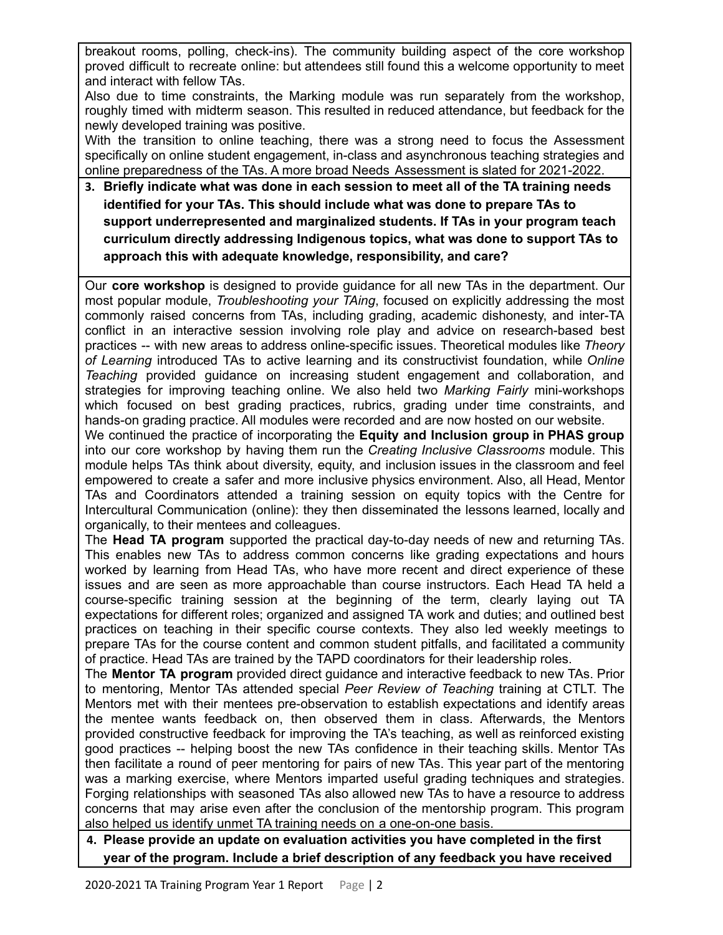breakout rooms, polling, check-ins). The community building aspect of the core workshop proved difficult to recreate online: but attendees still found this a welcome opportunity to meet and interact with fellow TAs.

Also due to time constraints, the Marking module was run separately from the workshop, roughly timed with midterm season. This resulted in reduced attendance, but feedback for the newly developed training was positive.

With the transition to online teaching, there was a strong need to focus the Assessment specifically on online student engagement, in-class and asynchronous teaching strategies and online preparedness of the TAs. A more broad Needs Assessment is slated for 2021-2022.

**3. Briefly indicate what was done in each session to meet all of the TA training needs identified for your TAs. This should include what was done to prepare TAs to support underrepresented and marginalized students. If TAs in your program teach curriculum directly addressing Indigenous topics, what was done to support TAs to approach this with adequate knowledge, responsibility, and care?**

Our **core workshop** is designed to provide guidance for all new TAs in the department. Our most popular module, *Troubleshooting your TAing*, focused on explicitly addressing the most commonly raised concerns from TAs, including grading, academic dishonesty, and inter-TA conflict in an interactive session involving role play and advice on research-based best practices -- with new areas to address online-specific issues. Theoretical modules like *Theory of Learning* introduced TAs to active learning and its constructivist foundation, while *Online Teaching* provided guidance on increasing student engagement and collaboration, and strategies for improving teaching online. We also held two *Marking Fairly* mini-workshops which focused on best grading practices, rubrics, grading under time constraints, and hands-on grading practice. All modules were recorded and are now hosted on our website.

We continued the practice of incorporating the **Equity and Inclusion group in PHAS group** into our core workshop by having them run the *Creating Inclusive Classrooms* module. This module helps TAs think about diversity, equity, and inclusion issues in the classroom and feel empowered to create a safer and more inclusive physics environment. Also, all Head, Mentor TAs and Coordinators attended a training session on equity topics with the Centre for Intercultural Communication (online): they then disseminated the lessons learned, locally and organically, to their mentees and colleagues.

The **Head TA program** supported the practical day-to-day needs of new and returning TAs. This enables new TAs to address common concerns like grading expectations and hours worked by learning from Head TAs, who have more recent and direct experience of these issues and are seen as more approachable than course instructors. Each Head TA held a course-specific training session at the beginning of the term, clearly laying out TA expectations for different roles; organized and assigned TA work and duties; and outlined best practices on teaching in their specific course contexts. They also led weekly meetings to prepare TAs for the course content and common student pitfalls, and facilitated a community of practice. Head TAs are trained by the TAPD coordinators for their leadership roles.

The **Mentor TA program** provided direct guidance and interactive feedback to new TAs. Prior to mentoring, Mentor TAs attended special *Peer Review of Teaching* training at CTLT. The Mentors met with their mentees pre-observation to establish expectations and identify areas the mentee wants feedback on, then observed them in class. Afterwards, the Mentors provided constructive feedback for improving the TA's teaching, as well as reinforced existing good practices -- helping boost the new TAs confidence in their teaching skills. Mentor TAs then facilitate a round of peer mentoring for pairs of new TAs. This year part of the mentoring was a marking exercise, where Mentors imparted useful grading techniques and strategies. Forging relationships with seasoned TAs also allowed new TAs to have a resource to address concerns that may arise even after the conclusion of the mentorship program. This program also helped us identify unmet TA training needs on a one-on-one basis.

## **4. Please provide an update on evaluation activities you have completed in the first year of the program. Include a brief description of any feedback you have received**